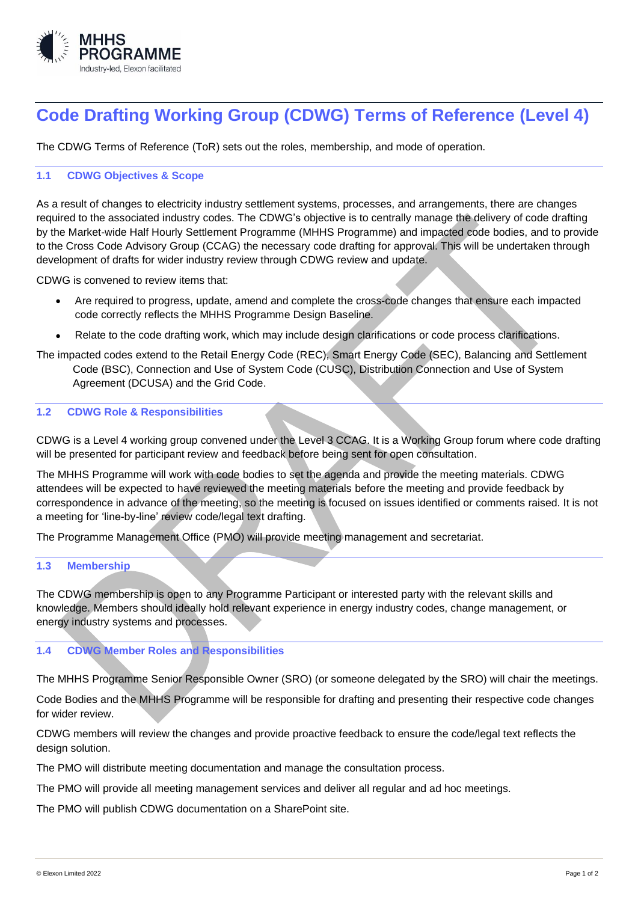

# **Code Drafting Working Group (CDWG) Terms of Reference (Level 4)**

The CDWG Terms of Reference (ToR) sets out the roles, membership, and mode of operation.

# **1.1 CDWG Objectives & Scope**

As a result of changes to electricity industry settlement systems, processes, and arrangements, there are changes required to the associated industry codes. The CDWG's objective is to centrally manage the delivery of code drafting by the Market-wide Half Hourly Settlement Programme (MHHS Programme) and impacted code bodies, and to provide to the Cross Code Advisory Group (CCAG) the necessary code drafting for approval. This will be undertaken through development of drafts for wider industry review through CDWG review and update.

CDWG is convened to review items that:

- Are required to progress, update, amend and complete the cross-code changes that ensure each impacted code correctly reflects the MHHS Programme Design Baseline.
- Relate to the code drafting work, which may include design clarifications or code process clarifications.
- The impacted codes extend to the Retail Energy Code (REC), Smart Energy Code (SEC), Balancing and Settlement Code (BSC), Connection and Use of System Code (CUSC), Distribution Connection and Use of System Agreement (DCUSA) and the Grid Code.

### **1.2 CDWG Role & Responsibilities**

CDWG is a Level 4 working group convened under the Level 3 CCAG. It is a Working Group forum where code drafting will be presented for participant review and feedback before being sent for open consultation.

The MHHS Programme will work with code bodies to set the agenda and provide the meeting materials. CDWG attendees will be expected to have reviewed the meeting materials before the meeting and provide feedback by correspondence in advance of the meeting, so the meeting is focused on issues identified or comments raised. It is not a meeting for 'line-by-line' review code/legal text drafting.

The Programme Management Office (PMO) will provide meeting management and secretariat.

#### **1.3 Membership**

The CDWG membership is open to any Programme Participant or interested party with the relevant skills and knowledge. Members should ideally hold relevant experience in energy industry codes, change management, or energy industry systems and processes.

# **1.4 CDWG Member Roles and Responsibilities**

The MHHS Programme Senior Responsible Owner (SRO) (or someone delegated by the SRO) will chair the meetings.

Code Bodies and the MHHS Programme will be responsible for drafting and presenting their respective code changes for wider review.

CDWG members will review the changes and provide proactive feedback to ensure the code/legal text reflects the design solution.

The PMO will distribute meeting documentation and manage the consultation process.

The PMO will provide all meeting management services and deliver all regular and ad hoc meetings.

The PMO will publish CDWG documentation on a SharePoint site.